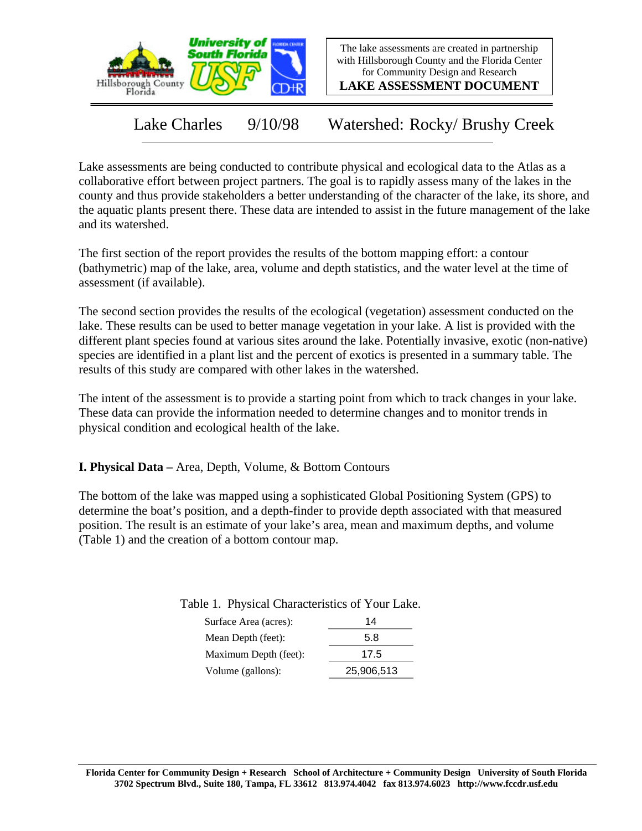

The lake assessments are created in partnership with Hillsborough County and the Florida Center for Community Design and Research

**LAKE ASSESSMENT DOCUMENT**

Lake Charles 9/10/98 Watershed: Rocky/ Brushy Creek

Lake assessments are being conducted to contribute physical and ecological data to the Atlas as a collaborative effort between project partners. The goal is to rapidly assess many of the lakes in the county and thus provide stakeholders a better understanding of the character of the lake, its shore, and the aquatic plants present there. These data are intended to assist in the future management of the lake and its watershed.

The first section of the report provides the results of the bottom mapping effort: a contour (bathymetric) map of the lake, area, volume and depth statistics, and the water level at the time of assessment (if available).

The second section provides the results of the ecological (vegetation) assessment conducted on the lake. These results can be used to better manage vegetation in your lake. A list is provided with the different plant species found at various sites around the lake. Potentially invasive, exotic (non-native) species are identified in a plant list and the percent of exotics is presented in a summary table. The results of this study are compared with other lakes in the watershed.

The intent of the assessment is to provide a starting point from which to track changes in your lake. These data can provide the information needed to determine changes and to monitor trends in physical condition and ecological health of the lake.

**I. Physical Data –** Area, Depth, Volume, & Bottom Contours

The bottom of the lake was mapped using a sophisticated Global Positioning System (GPS) to determine the boat's position, and a depth-finder to provide depth associated with that measured position. The result is an estimate of your lake's area, mean and maximum depths, and volume (Table 1) and the creation of a bottom contour map.

| Surface Area (acres): | 14   |
|-----------------------|------|
| Mean Depth (feet):    | 5.8  |
| Maximum Depth (feet): | 17.5 |

Volume (gallons): 25,906,513

Table 1. Physical Characteristics of Your Lake.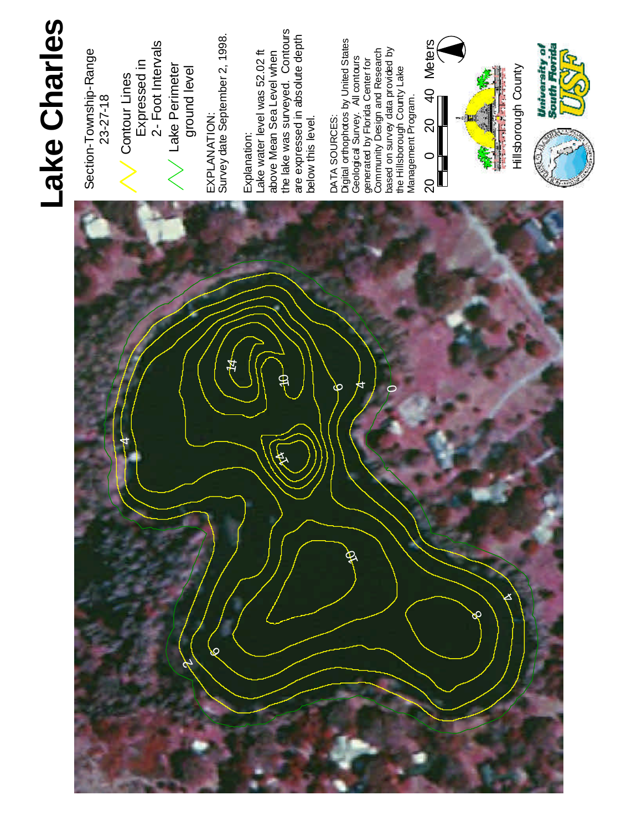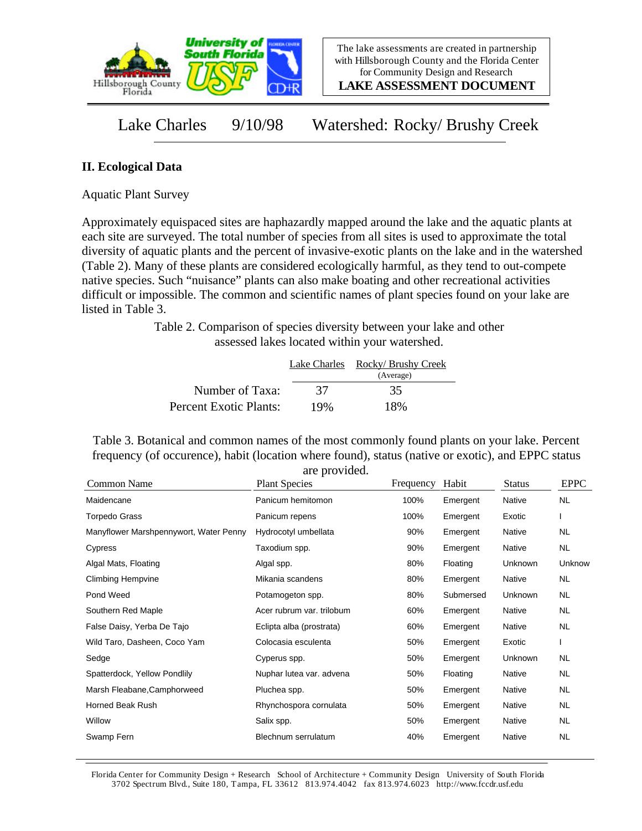

**LAKE ASSESSMENT DOCUMENT**

Lake Charles 9/10/98 Watershed: Rocky/ Brushy Creek

## **II. Ecological Data**

Aquatic Plant Survey

Approximately equispaced sites are haphazardly mapped around the lake and the aquatic plants at each site are surveyed. The total number of species from all sites is used to approximate the total diversity of aquatic plants and the percent of invasive-exotic plants on the lake and in the watershed (Table 2). Many of these plants are considered ecologically harmful, as they tend to out-compete native species. Such "nuisance" plants can also make boating and other recreational activities difficult or impossible. The common and scientific names of plant species found on your lake are listed in Table 3.

> Table 2. Comparison of species diversity between your lake and other assessed lakes located within your watershed.

|                        | Lake Charles | Rocky/ Brushy Creek<br>(Average) |
|------------------------|--------------|----------------------------------|
| Number of Taxa:        | 37           | 35                               |
| Percent Exotic Plants: | 19%          | 18%                              |

Table 3. Botanical and common names of the most commonly found plants on your lake. Percent frequency (of occurence), habit (location where found), status (native or exotic), and EPPC status are provided.

| Common Name                            | are provided.<br><b>Plant Species</b> | Frequency | Habit     | <b>Status</b> | <b>EPPC</b> |
|----------------------------------------|---------------------------------------|-----------|-----------|---------------|-------------|
| Maidencane                             | Panicum hemitomon                     | 100%      | Emergent  | Native        | NL.         |
| <b>Torpedo Grass</b>                   | Panicum repens                        | 100%      | Emergent  | Exotic        |             |
| Manyflower Marshpennywort, Water Penny | Hydrocotyl umbellata                  | 90%       | Emergent  | Native        | <b>NL</b>   |
| Cypress                                | Taxodium spp.                         | 90%       | Emergent  | Native        | <b>NL</b>   |
| Algal Mats, Floating                   | Algal spp.                            | 80%       | Floating  | Unknown       | Unknow      |
| <b>Climbing Hempvine</b>               | Mikania scandens                      | 80%       | Emergent  | Native        | <b>NL</b>   |
| Pond Weed                              | Potamogeton spp.                      | 80%       | Submersed | Unknown       | <b>NL</b>   |
| Southern Red Maple                     | Acer rubrum var. trilobum             | 60%       | Emergent  | Native        | NL.         |
| False Daisy, Yerba De Tajo             | Eclipta alba (prostrata)              | 60%       | Emergent  | Native        | <b>NL</b>   |
| Wild Taro, Dasheen, Coco Yam           | Colocasia esculenta                   | 50%       | Emergent  | Exotic        |             |
| Sedge                                  | Cyperus spp.                          | 50%       | Emergent  | Unknown       | NL.         |
| Spatterdock, Yellow Pondlily           | Nuphar lutea var. advena              | 50%       | Floating  | Native        | <b>NL</b>   |
| Marsh Fleabane, Camphorweed            | Pluchea spp.                          | 50%       | Emergent  | Native        | <b>NL</b>   |
| <b>Horned Beak Rush</b>                | Rhynchospora cornulata                | 50%       | Emergent  | Native        | <b>NL</b>   |
| Willow                                 | Salix spp.                            | 50%       | Emergent  | Native        | NL.         |
| Swamp Fern                             | Blechnum serrulatum                   | 40%       | Emergent  | Native        | <b>NL</b>   |

Florida Center for Community Design + Research School of Architecture + Community Design University of South Florida 3702 Spectrum Blvd., Suite 180, Tampa, FL 33612 813.974.4042 fax 813.974.6023 http://www.fccdr.usf.edu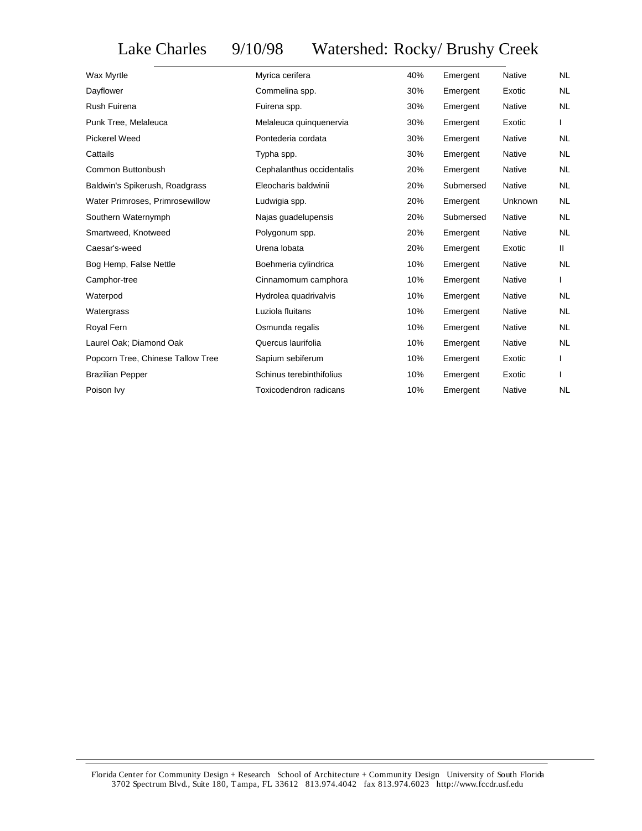## Lake Charles 9/10/98 Watershed: Rocky/ Brushy Creek

| Wax Myrtle                        | Myrica cerifera           | 40% | Emergent  | <b>Native</b> | NL.       |
|-----------------------------------|---------------------------|-----|-----------|---------------|-----------|
| Dayflower                         | Commelina spp.            | 30% | Emergent  | Exotic        | <b>NL</b> |
| Rush Fuirena                      | Fuirena spp.              | 30% | Emergent  | Native        | NL.       |
| Punk Tree, Melaleuca              | Melaleuca quinquenervia   | 30% | Emergent  | Exotic        |           |
| <b>Pickerel Weed</b>              | Pontederia cordata        | 30% | Emergent  | <b>Native</b> | <b>NL</b> |
| Cattails                          | Typha spp.                | 30% | Emergent  | Native        | <b>NL</b> |
| Common Buttonbush                 | Cephalanthus occidentalis | 20% | Emergent  | Native        | NL        |
| Baldwin's Spikerush, Roadgrass    | Eleocharis baldwinii      | 20% | Submersed | <b>Native</b> | <b>NL</b> |
| Water Primroses, Primrosewillow   | Ludwigia spp.             | 20% | Emergent  | Unknown       | NL        |
| Southern Waternymph               | Najas guadelupensis       | 20% | Submersed | Native        | <b>NL</b> |
| Smartweed, Knotweed               | Polygonum spp.            | 20% | Emergent  | Native        | <b>NL</b> |
| Caesar's-weed                     | Urena lobata              | 20% | Emergent  | Exotic        | Ш.        |
| Bog Hemp, False Nettle            | Boehmeria cylindrica      | 10% | Emergent  | Native        | NL.       |
| Camphor-tree                      | Cinnamomum camphora       | 10% | Emergent  | Native        |           |
| Waterpod                          | Hydrolea quadrivalvis     | 10% | Emergent  | Native        | NL.       |
| Watergrass                        | Luziola fluitans          | 10% | Emergent  | Native        | <b>NL</b> |
| Royal Fern                        | Osmunda regalis           | 10% | Emergent  | <b>Native</b> | <b>NL</b> |
| Laurel Oak; Diamond Oak           | Quercus laurifolia        | 10% | Emergent  | Native        | <b>NL</b> |
| Popcorn Tree, Chinese Tallow Tree | Sapium sebiferum          | 10% | Emergent  | Exotic        |           |
| <b>Brazilian Pepper</b>           | Schinus terebinthifolius  | 10% | Emergent  | Exotic        |           |
| Poison Ivy                        | Toxicodendron radicans    | 10% | Emergent  | Native        | NL        |
|                                   |                           |     |           |               |           |

Florida Center for Community Design + Research School of Architecture + Community Design University of South Florida 3702 Spectrum Blvd., Suite 180, Tampa, FL 33612 813.974.4042 fax 813.974.6023 http://www.fccdr.usf.edu